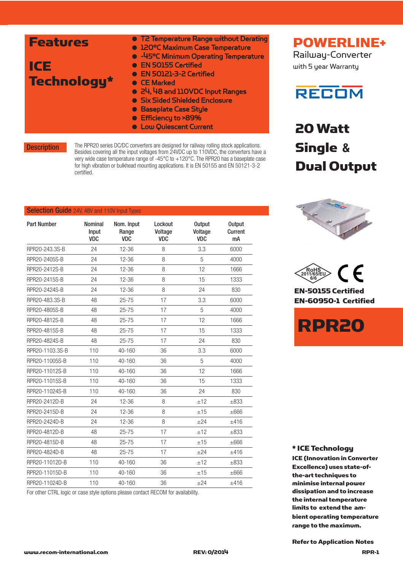| <b>Features</b><br>ICE<br>Technology* | • T2 Temperature Range without Derating<br><b>. 120°C Maximum Case Temperature</b><br>• -45°C Minimum Operating Temperature<br>• EN 50155 Certified<br>• EN 50121-3-2 Certified<br>• CE Marked<br>• 24, 48 and 110VDC Input Ranges<br>• Six Sided Shielded Enclosure |
|---------------------------------------|----------------------------------------------------------------------------------------------------------------------------------------------------------------------------------------------------------------------------------------------------------------------|
|                                       | <b>• Baseplate Case Style</b><br>● Efficiency to >89%<br><b>.</b> Low Quiescent Current                                                                                                                                                                              |

**Description** 

The RPR20 series DC/DC converters are designed for railway rolling stock applications. Besides covering all the input voltages from 24VDC up to 110VDC, the converters have a very wide case temperature range of -45°C to +120°C. The RPR20 has a baseplate case for high vibration or bulkhead mounting applications. It is EN 50155 and EN 50121-3-2 certified.

# Selection Guide 24V, 48V and 110V Input Types

| <b>Part Number</b> | <b>Nominal</b><br>Input<br><b>VDC</b> | Nom. Input<br>Range<br><b>VDC</b> | Lockout<br>Voltage<br><b>VDC</b> | <b>Output</b><br>Voltage<br><b>VDC</b> | <b>Output</b><br>Current<br>mA |
|--------------------|---------------------------------------|-----------------------------------|----------------------------------|----------------------------------------|--------------------------------|
| RPR20-243.3S-B     | 24                                    | $12 - 36$                         | 8                                | 3.3                                    | 6000                           |
| RPR20-2405S-B      | 24                                    | 12-36                             | 8                                | 5                                      | 4000                           |
| RPR20-2412S-B      | 24                                    | $12 - 36$                         | 8                                | 12                                     | 1666                           |
| RPR20-2415S-B      | 24                                    | 12-36                             | 8                                | 15                                     | 1333                           |
| RPR20-2424S-B      | 24                                    | $12 - 36$                         | 8                                | 24                                     | 830                            |
| RPR20-483.3S-B     | 48                                    | $25 - 75$                         | 17                               | 3.3                                    | 6000                           |
| RPR20-4805S-B      | 48                                    | $25 - 75$                         | 17                               | 5                                      | 4000                           |
| RPR20-4812S-B      | 48                                    | $25 - 75$                         | 17                               | 12                                     | 1666                           |
| RPR20-4815S-B      | 48                                    | $25 - 75$                         | 17                               | 15                                     | 1333                           |
| RPR20-4824S-B      | 48                                    | $25 - 75$                         | 17                               | 24                                     | 830                            |
| RPR20-1103.3S-B    | 110                                   | 40-160                            | 36                               | 3.3                                    | 6000                           |
| RPR20-11005S-B     | 110                                   | 40-160                            | 36                               | 5                                      | 4000                           |
| RPR20-11012S-B     | 110                                   | 40-160                            | 36                               | 12                                     | 1666                           |
| RPR20-11015S-B     | 110                                   | $40 - 160$                        | 36                               | 15                                     | 1333                           |
| RPR20-11024S-B     | 110                                   | 40-160                            | 36                               | 24                                     | 830                            |
| RPR20-2412D-B      | 24                                    | $12 - 36$                         | 8                                | ±12                                    | $\pm 833$                      |
| RPR20-2415D-B      | 24                                    | $12 - 36$                         | 8                                | ±15                                    | $\pm 666$                      |
| RPR20-2424D-B      | 24                                    | $12 - 36$                         | 8                                | ±24                                    | ±416                           |
| RPR20-4812D-B      | 48                                    | $25 - 75$                         | 17                               | ±12                                    | $\pm 833$                      |
| RPR20-4815D-B      | 48                                    | $25 - 75$                         | 17                               | ±15                                    | $\pm 666$                      |
| RPR20-4824D-B      | 48                                    | $25 - 75$                         | 17                               | $+24$                                  | ±416                           |
| RPR20-11012D-B     | 110                                   | 40-160                            | 36                               | ±12                                    | $\pm 833$                      |
| RPR20-11015D-B     | 110                                   | 40-160                            | 36                               | ±15                                    | $\pm 666$                      |
| RPR20-11024D-B     | 110                                   | 40-160                            | 36                               | ±24                                    | ±416                           |

For other CTRL logic or case style options please contact RECOM for availability.



Railway-Converter with 5 year Warranty



20 Watt Single **&** Dual Output



 $\epsilon$ **RoHS 2011/65/EU 6/6** EN-50155 Certified

EN-60950-1 Certified



#### \* ICE Technology

ICE (Innovation in Converter Excellence) uses state-ofthe-art techniques to minimise internal power dissipation and to increase the internal temperature limits to extend the ambient operating temperature range to the maximum.

www.recom-international.com REV: 0/2014 RPR-1 Refer to Application Notes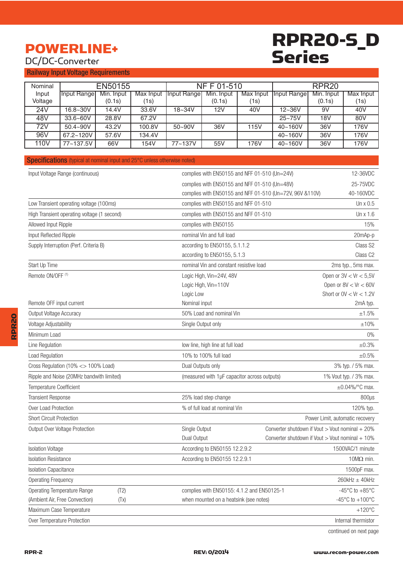# POWERLINE+ DC/DC-Converter

# RPR20-S\_D Series

#### Railway Input Voltage Requirements

| Nominal | EN50155      |            |           | NF F 01-510         |            |           | RPR <sub>20</sub> |            |           |
|---------|--------------|------------|-----------|---------------------|------------|-----------|-------------------|------------|-----------|
| Input   | Input Rangel | Min. Input | Max Input | <b>Input Rangel</b> | Min. Input | Max Input | Input Rangel      | Min. Input | Max Input |
| Voltage |              | (0.1s)     | (1s)      |                     | (0.1s)     | (1s)      |                   | (0.1s)     | (1s)      |
| 24V     | $16.8 - 30V$ | 14.4V      | 33.6V     | $18 - 34V$          | 12V        | 40V       | $12 - 36V$        | 9V         | 40V       |
| 48V     | $33.6 - 60V$ | 28.8V      | 67.2V     |                     |            |           | $25 - 75V$        | 18V        | 80V       |
| 72V     | $50.4 - 90V$ | 43.2V      | 100.8V    | $50 - 90V$          | 36V        | 115V      | 40~160V           | 36V        | 176V      |
| 96V     | 67.2~120V    | 57.6V      | 134.4V    |                     |            |           | 40~160V           | 36V        | 176V      |
| 110V    | 77~137.5V    | 66V        | 154V      | 77~137V             | 55V        | 176V      | 40~160V           | 36V        | 176V      |

#### Specifications (typical at nominal input and 25°C unless otherwise noted)

| Input Voltage Range (continuous)            | complies with EN50155 and NFF 01-510 (Un=24V)            | 12-36VDC                                             |
|---------------------------------------------|----------------------------------------------------------|------------------------------------------------------|
|                                             | complies with EN50155 and NFF 01-510 (Un=48V)            | 25-75VDC                                             |
|                                             | complies with EN50155 and NFF 01-510 (Un=72V, 96V &110V) | 40-160VDC                                            |
| Low Transient operating voltage (100ms)     | complies with EN50155 and NFF 01-510                     | Un x 0.5                                             |
| High Transient operating voltage (1 second) | complies with EN50155 and NFF 01-510                     | Un x 1.6                                             |
| Allowed Input Ripple                        | complies with EN50155                                    | 15%                                                  |
| Input Reflected Ripple                      | nominal Vin and full load                                | 20mAp-p                                              |
| Supply Interruption (Perf. Criteria B)      | according to EN50155, 5.1.1.2                            | Class S2                                             |
|                                             | according to EN50155, 5.1.3                              | Class C <sub>2</sub>                                 |
| Start Up Time                               | nominal Vin and constant resistive load                  | 2ms typ., 5ms max.                                   |
| Remote ON/OFF (1)                           | Logic High, Vin=24V, 48V                                 | Open or $3V < Vr < 5.5V$                             |
|                                             | Logic High, Vin=110V                                     | Open or $8V < Vr < 60V$                              |
|                                             | Logic Low                                                | Short or $0V < Vr < 1.2V$                            |
| Remote OFF input current                    | Nominal input                                            | 2mA typ.                                             |
| Output Voltage Accuracy                     | 50% Load and nominal Vin                                 | ±1.5%                                                |
| Voltage Adjustability                       | Single Output only                                       | ±10%                                                 |
| Minimum Load                                |                                                          | $0\%$                                                |
| Line Regulation                             | low line, high line at full load                         | ±0.3%                                                |
| Load Regulation                             | 10% to 100% full load                                    | ±0.5%                                                |
| Cross Regulation (10% <> 100% Load)         | Dual Outputs only                                        | 3% typ. / 5% max.                                    |
| Ripple and Noise (20MHz bandwith limited)   | (measured with 1µF capacitor across outputs)             | 1% Vout typ. / 3% max.                               |
| Temperature Coefficient                     |                                                          | $\pm 0.04\%$ /°C max.                                |
| <b>Transient Response</b>                   | 25% load step change                                     | $800\mu s$                                           |
| Over Load Protection                        | % of full load at nominal Vin                            | 120% typ.                                            |
| <b>Short Circuit Protection</b>             |                                                          | Power Limit, automatic recovery                      |
| Output Over Voltage Protection              | Single Output                                            | Converter shutdown if Vout > Vout nominal + 20%      |
|                                             | Dual Output                                              | Converter shutdown if Vout > Vout nominal + 10%      |
| <b>Isolation Voltage</b>                    | According to EN50155 12.2.9.2                            | 1500VAC/1 minute                                     |
| <b>Isolation Resistance</b>                 | According to EN50155 12.2.9.1                            | $10M\Omega$ min.                                     |
| <b>Isolation Capacitance</b>                |                                                          | 1500pF max.                                          |
| <b>Operating Frequency</b>                  |                                                          | $260$ kHz $\pm$ 40kHz                                |
| <b>Operating Temperature Range</b><br>(T2)  | complies with EN50155: 4.1.2 and EN50125-1               | -45 $\mathrm{^{\circ}C}$ to +85 $\mathrm{^{\circ}C}$ |
| (Ambient Air, Free Convection)<br>(TX)      | when mounted on a heatsink (see notes)                   | -45°C to $+100$ °C                                   |
| Maximum Case Temperature                    |                                                          | $+120^{\circ}$ C                                     |
| Over Temperature Protection                 |                                                          | Internal thermistor                                  |

continued on next page

RPR20

**RPR20**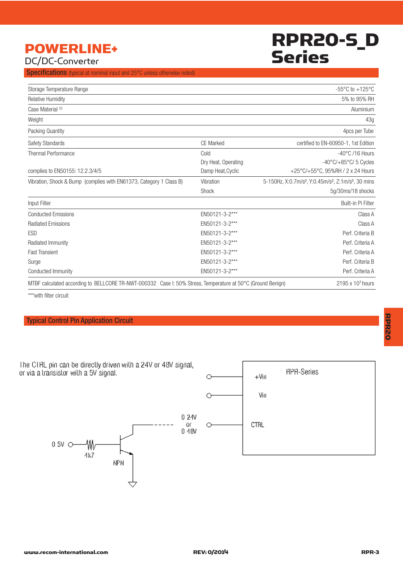# RPR20-S\_D Series

# POWERLINE+ DC/DC-Converter

Specifications (typical at nominal input and 25°C unless otherwise noted)

| Storage Temperature Range                                                                                   |                     | $-55^{\circ}$ C to $+125^{\circ}$ C                                                     |
|-------------------------------------------------------------------------------------------------------------|---------------------|-----------------------------------------------------------------------------------------|
| <b>Relative Humidity</b>                                                                                    |                     | 5% to 95% RH                                                                            |
| Case Material <sup>(2)</sup>                                                                                |                     | Aluminium                                                                               |
| Weight                                                                                                      |                     | 43g                                                                                     |
| Packing Quantity                                                                                            |                     | 4pcs per Tube                                                                           |
| Safety Standards                                                                                            | <b>CE Marked</b>    | certified to EN-60950-1, 1st Edition                                                    |
| <b>Thermal Performance</b>                                                                                  | Cold                | $-40^{\circ}$ C /16 Hours                                                               |
|                                                                                                             | Dry Heat, Operating | $-40^{\circ}$ C/ $+85^{\circ}$ C/ 5 Cycles                                              |
| complies to EN50155: 12.2.3/4/5                                                                             | Damp Heat, Cyclic   | +25°C/+55°C, 95%RH / 2 x 24 Hours                                                       |
| Vibration, Shock & Bump (complies with EN61373, Category 1 Class B)                                         | Vibration           | 5-150Hz, X:0.7m/s <sup>2</sup> , Y:0.45m/s <sup>2</sup> , Z:1m/s <sup>2</sup> , 30 mins |
|                                                                                                             | Shock               | 5g/30ms/18 shocks                                                                       |
| Input Filter                                                                                                |                     | Built-in Pi Filter                                                                      |
| <b>Conducted Emissions</b>                                                                                  | EN50121-3-2***      | Class A                                                                                 |
| <b>Radiated Emissions</b>                                                                                   | EN50121-3-2***      | Class A                                                                                 |
| <b>ESD</b>                                                                                                  | EN50121-3-2***      | Perf. Criteria B                                                                        |
| Radiated Immunity                                                                                           | EN50121-3-2***      | Perf. Criteria A                                                                        |
| <b>Fast Transient</b>                                                                                       | EN50121-3-2***      | Perf. Criteria A                                                                        |
| Surge                                                                                                       | EN50121-3-2***      | Perf. Criteria B                                                                        |
| Conducted Immunity                                                                                          | EN50121-3-2***      | Perf. Criteria A                                                                        |
| MTBF calculated according to BELLCORE TR-NWT-000332 Case I: 50% Stress, Temperature at 50°C (Ground Benign) |                     | $2195 \times 10^3$ hours                                                                |

\*\*\*with filter circuit

#### Typical Control Pin Application Circuit

The CTRL pin can be directly driven with a 24V or 48V signal, or via a transistor with a 5V signal. **RPR-Series**  $+V\!in$ O-Vin Ó  $0.24V$ **CTRL** Qſ.  $\circ$ 0.48V 0.5V O-₩ 4k7 **NPN**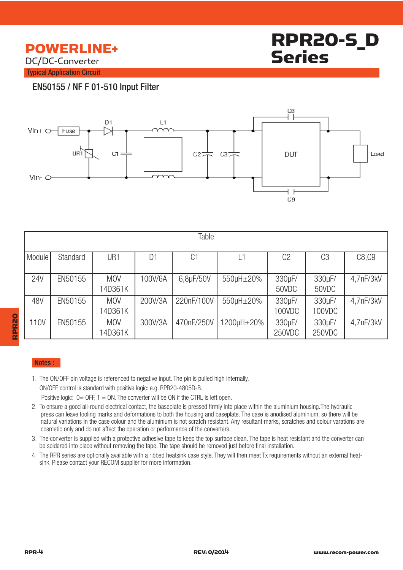## POWERLINE+ DC/DC-Converter



Typical Application Circuit

### EN50155 / NF F 01-510 Input Filter



| Table      |          |                       |                |                |            |                  |                  |           |  |
|------------|----------|-----------------------|----------------|----------------|------------|------------------|------------------|-----------|--|
| Module     | Standard | UR1                   | D <sub>1</sub> | C <sub>1</sub> |            | C <sub>2</sub>   | C <sub>3</sub>   | C8, C9    |  |
| <b>24V</b> | EN50155  | <b>MOV</b><br>14D361K | 100V/6A        | 6,8µF/50V      | 550µH±20%  | 330µF/<br>50VDC  | 330µF/<br>50VDC  | 4,7nF/3kV |  |
| 48V        | EN50155  | <b>MOV</b><br>14D361K | 200V/3A        | 220nF/100V     | 550µH±20%  | 330µF/<br>100VDC | 330µF/<br>100VDC | 4,7nF/3kV |  |
| 110V       | EN50155  | <b>MOV</b><br>14D361K | 300V/3A        | 470nF/250V     | 1200µH±20% | 330µF/<br>250VDC | 330µF/<br>250VDC | 4,7nF/3kV |  |

#### Notes :

1. The ON/OFF pin voltage is referenced to negative input. The pin is pulled high internally.

ON/OFF control is standard with positive logic: e.g. RPR20-4805D-B.

Positive logic:  $0=$  OFF,  $1=$  ON. The converter will be ON if the CTRL is left open.

- 2. To ensure a good all-round electrical contact, the baseplate is pressed firmly into place within the aluminium housing.The hydraulic press can leave tooling marks and deformations to both the housing and baseplate. The case is anodised aluminium, so there will be natural variations in the case colour and the aluminium is not scratch resistant. Any resultant marks, scratches and colour varations are cosmetic only and do not affect the operation or performance of the converters.
- 3. The converter is supplied with a protective adhesive tape to keep the top surface clean. The tape is heat resistant and the converter can be soldered into place without removing the tape. The tape should be removed just before final installation.
- 4. The RPR series are optionally available with a ribbed heatsink case style. They will then meet Tx requirements without an external heat sink. Please contact your RECOM supplier for more information.

RPR20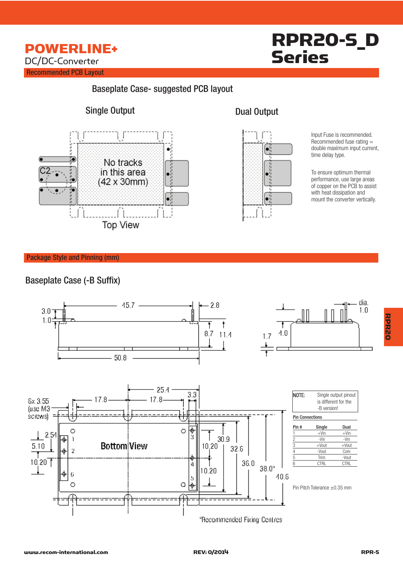

# RPR20-S\_D Series

### Baseplate Case- suggested PCB layout

### Single Output Dual Output





Input Fuse is recommended.  $R$ ecommended fuse rating  $=$ double maximum input current, time delay type.

To ensure optimum thermal performance, use large areas of copper on the PCB to assist with heat dissipation and mount the converter vertically.

#### Package Style and Pinning (mm)

### Baseplate Case (-B Suffix)